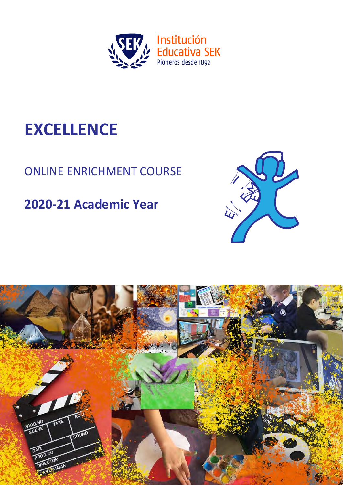

# **EXCELLENCE**

## ONLINE ENRICHMENT COURSE

## **2020-21 Academic Year**



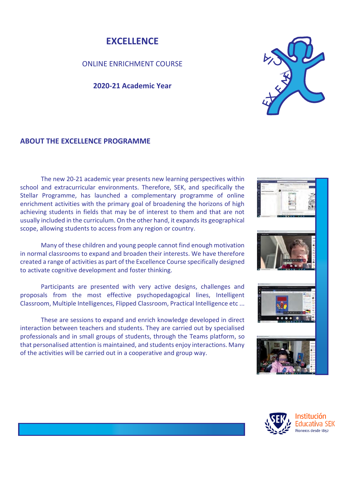## **EXCELLENCE**

ONLINE ENRICHMENT COURSE

### **2020-21 Academic Year**



## **ABOUT THE EXCELLENCE PROGRAMME**

The new 20-21 academic year presents new learning perspectives within school and extracurricular environments. Therefore, SEK, and specifically the Stellar Programme, has launched a complementary programme of online enrichment activities with the primary goal of broadening the horizons of high achieving students in fields that may be of interest to them and that are not usually included in the curriculum. On the other hand, it expands its geographical scope, allowing students to access from any region or country.

Many of these children and young people cannot find enough motivation in normal classrooms to expand and broaden their interests. We have therefore created a range of activities as part of the Excellence Course specifically designed to activate cognitive development and foster thinking.

Participants are presented with very active designs, challenges and proposals from the most effective psychopedagogical lines, Intelligent Classroom, Multiple Intelligences, Flipped Classroom, Practical Intelligence etc ...

These are sessions to expand and enrich knowledge developed in direct interaction between teachers and students. They are carried out by specialised professionals and in small groups of students, through the Teams platform, so that personalised attention is maintained, and students enjoy interactions. Many of the activities will be carried out in a cooperative and group way.











Educativa SEK Pioneros desde 1892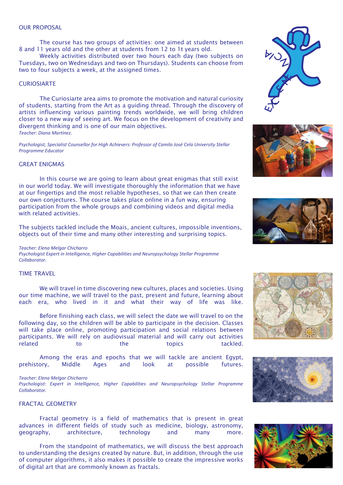#### OUR PROPOSAL

The course has two groups of activities: one aimed at students between 8 and 11 years old and the other at students from 12 to 1t years old.

Weekly activities distributed over two hours each day (two subjects on Tuesdays, two on Wednesdays and two on Thursdays). Students can choose from two to four subjects a week, at the assigned times.

#### **CURIOSIARTE**

The Curiosiarte area aims to promote the motivation and natural curiosity of students, starting from the Art as a guiding thread. Through the discovery of artists influencing various painting trends worldwide, we will bring children closer to a new way of seeing art. We focus on the development of creativity and divergent thinking and is one of our main objectives. *Teacher: Diana Martínez.*

*Psychologist, Specialist Counsellor for High Achievers: Professor of Camilo José Cela University Stellar Programme Educator*

#### GREAT ENIGMAS

In this course we are going to learn about great enigmas that still exist in our world today. We will investigate thoroughly the information that we have at our fingertips and the most reliable hypotheses, so that we can then create our own conjectures. The course takes place online in a fun way, ensuring participation from the whole groups and combining videos and digital media with related activities.

The subjects tackled include the Moais, ancient cultures, impossible inventions, objects out of their time and many other interesting and surprising topics.

#### *Teacher: Elena Melgar Chicharro*

*Psychologist Expert in Intelligence, Higher Capabilities and Neuropsychology Stellar Programme Collaborator.*

#### TIME TRAVEL

We will travel in time discovering new cultures, places and societies. Using our time machine, we will travel to the past, present and future, learning about each era, who lived in it and what their way of life was like.

Before finishing each class, we will select the date we will travel to on the following day, so the children will be able to participate in the decision. Classes will take place online, promoting participation and social relations between participants. We will rely on audiovisual material and will carry out activities related to the topics tackled.

Among the eras and epochs that we will tackle are ancient Egypt, prehistory, Middle Ages and look at possible futures.

#### *Teacher: Elena Melgar Chicharro*

*Psychologist: Expert in Intelligence, Higher Capabilities and Neuropsychology Stellar Programme Collaborator.*

#### FRACTAL GEOMETRY

Fractal geometry is a field of mathematics that is present in great advances in different fields of study such as medicine, biology, astronomy, geography, architecture, technology and many more.

From the standpoint of mathematics, we will discuss the best approach to understanding the designs created by nature. But, in addition, through the use of computer algorithms, it also makes it possible to create the impressive works of digital art that are commonly known as fractals.











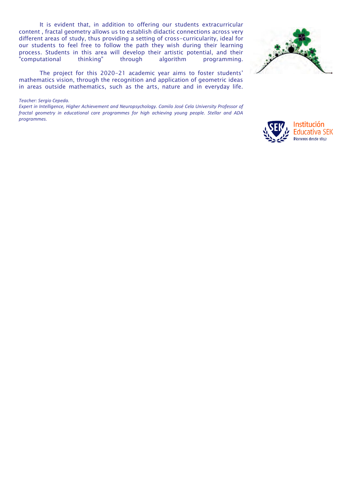It is evident that, in addition to offering our students extracurricular content , fractal geometry allows us to establish didactic connections across very different areas of study, thus providing a setting of cross-curricularity, ideal for our students to feel free to follow the path they wish during their learning process. Students in this area will develop their artistic potential, and their "computational thinking" through algorithm programming.

The project for this 2020-21 academic year aims to foster students' mathematics vision, through the recognition and application of geometric ideas in areas outside mathematics, such as the arts, nature and in everyday life.

*Teacher: Sergio Cepeda.*

*Expert in Intelligence, Higher Achievement and Neuropsychology. Camilo José Cela University Professor of fractal geometry in educational care programmes for high achieving young people. Stellar and ADA programmes.*





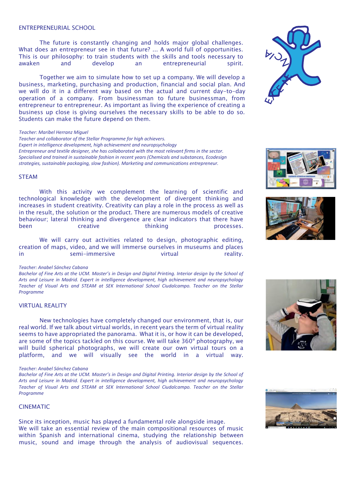#### ENTREPRENEURIAL SCHOOL

The future is constantly changing and holds major global challenges. What does an entrepreneur see in that future? ... A world full of opportunities. This is our philosophy: to train students with the skills and tools necessary to awaken and develop an entrepreneurial spirit.

Together we aim to simulate how to set up a company. We will develop a business, marketing, purchasing and production, financial and social plan. And we will do it in a different way based on the actual and current day-to-day operation of a company. From businessman to future businessman, from entrepreneur to entrepreneur. As important as living the experience of creating a business up close is giving ourselves the necessary skills to be able to do so. Students can make the future depend on them.

#### *Teacher: Maribel Herranz Miguel*

*Teacher and collaborator of the Stellar Programme for high achievers. Expert in intelligence development, high achievement and neuropsychology Entrepreneur and textile designer, she has collaborated with the most relevant firms in the sector. Specialised and trained in sustainable fashion in recent years (Chemicals and substances, Ecodesign strategies, sustainable packaging, slow fashion). Marketing and communications entrepreneur.*

#### **STFAM**

With this activity we complement the learning of scientific and technological knowledge with the development of divergent thinking and increases in student creativity. Creativity can play a role in the process as well as in the result, the solution or the product. There are numerous models of creative behaviour; lateral thinking and divergence are clear indicators that there have been creative thinking processes.

We will carry out activities related to design, photographic editing, creation of maps, video, and we will immerse ourselves in museums and places in semi-immersive virtual reality.

#### *Teacher: Anabel Sánchez Cabana*

*Bachelor of Fine Arts at the UCM. Master's in Design and Digital Printing. Interior design by the School of Arts and Leisure in Madrid. Expert in intelligence development, high achievement and neuropsychology Teacher of Visual Arts and STEAM at SEK International School Ciudalcampo. Teacher on the Stellar Programme*

#### VIRTUAL REALITY

New technologies have completely changed our environment, that is, our real world. If we talk about virtual worlds, in recent years the term of virtual reality seems to have appropriated the panorama. What it is, or how it can be developed, are some of the topics tackled on this course. We will take 360º photography, we will build spherical photographs, we will create our own virtual tours on a platform, and we will visually see the world in a virtual way.

#### *Teacher: Anabel Sánchez Cabana*

*Bachelor of Fine Arts at the UCM. Master's in Design and Digital Printing. Interior design by the School of Arts and Leisure in Madrid. Expert in intelligence development, high achievement and neuropsychology Teacher of Visual Arts and STEAM at SEK International School Ciudalcampo. Teacher on the Stellar Programme*

#### CINEMATIC

Since its inception, music has played a fundamental role alongside image. We will take an essential review of the main compositional resources of music within Spanish and international cinema, studying the relationship between music, sound and image through the analysis of audiovisual sequences.









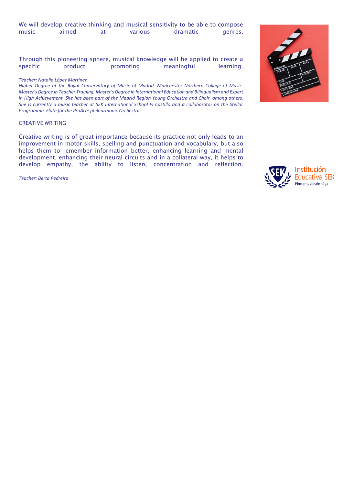|       |       |         | We will develop creative thinking and musical sensitivity to be able to compose |         |
|-------|-------|---------|---------------------------------------------------------------------------------|---------|
| music | aimed | various | dramatic                                                                        | genres. |

Through this pioneering sphere, musical knowledge will be applied to create a specific product, promoting meaningful learning.

#### *Teacher: Natalia López Martínez*

*Higher Degree at the Royal Conservatory of Music of Madrid. Manchester Northern College of Music. Master's Degree in Teacher Training, Master's Degree in International Education and Bilingualism and Expert in High Achievement. She has been part of the Madrid Region Young Orchestra and Choir, among others. She is currently a music teacher at SEK International School El Castillo and a collaborator on the Stellar Programme. Flute for the ProArte philharmonic Orchestra.*

#### CREATIVE WRITING

Creative writing is of great importance because its practice not only leads to an improvement in motor skills, spelling and punctuation and vocabulary, but also helps them to remember information better, enhancing learning and mental development, enhancing their neural circuits and in a collateral way, it helps to develop empathy, the ability to listen, concentration and reflection.

*Teacher: Berta Pedreira*